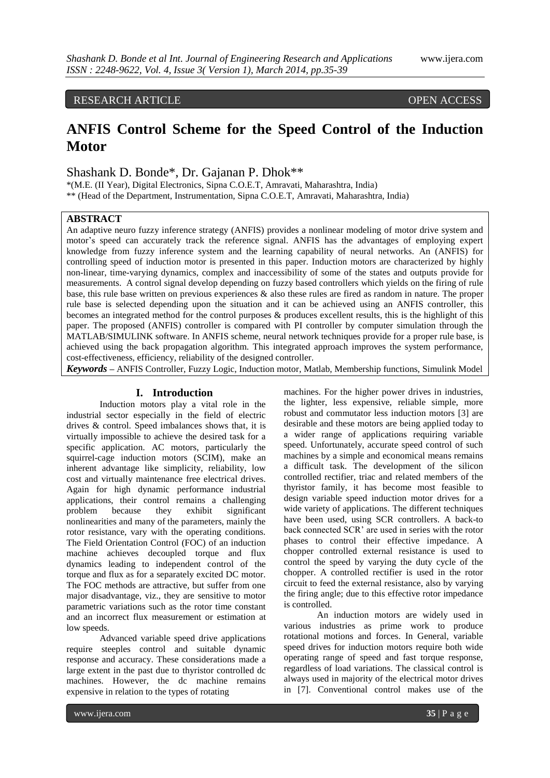# RESEARCH ARTICLE OPEN ACCESS

# **ANFIS Control Scheme for the Speed Control of the Induction Motor**

Shashank D. Bonde\*, Dr. Gajanan P. Dhok\*\*

\*(M.E. (II Year), Digital Electronics, Sipna C.O.E.T, Amravati, Maharashtra, India) \*\* (Head of the Department, Instrumentation, Sipna C.O.E.T, Amravati, Maharashtra, India)

# **ABSTRACT**

An adaptive neuro fuzzy inference strategy (ANFIS) provides a nonlinear modeling of motor drive system and motor"s speed can accurately track the reference signal. ANFIS has the advantages of employing expert knowledge from fuzzy inference system and the learning capability of neural networks. An (ANFIS) for controlling speed of induction motor is presented in this paper. Induction motors are characterized by highly non-linear, time-varying dynamics, complex and inaccessibility of some of the states and outputs provide for measurements. A control signal develop depending on fuzzy based controllers which yields on the firing of rule base, this rule base written on previous experiences & also these rules are fired as random in nature. The proper rule base is selected depending upon the situation and it can be achieved using an ANFIS controller, this becomes an integrated method for the control purposes & produces excellent results, this is the highlight of this paper. The proposed (ANFIS) controller is compared with PI controller by computer simulation through the MATLAB/SIMULINK software. In ANFIS scheme, neural network techniques provide for a proper rule base, is achieved using the back propagation algorithm. This integrated approach improves the system performance, cost-effectiveness, efficiency, reliability of the designed controller.

*Keywords* **–** ANFIS Controller, Fuzzy Logic, Induction motor, Matlab, Membership functions, Simulink Model

#### **I. Introduction**

Induction motors play a vital role in the industrial sector especially in the field of electric drives & control. Speed imbalances shows that, it is virtually impossible to achieve the desired task for a specific application. AC motors, particularly the squirrel-cage induction motors (SCIM), make an inherent advantage like simplicity, reliability, low cost and virtually maintenance free electrical drives. Again for high dynamic performance industrial applications, their control remains a challenging problem because they exhibit significant nonlinearities and many of the parameters, mainly the rotor resistance, vary with the operating conditions. The Field Orientation Control (FOC) of an induction machine achieves decoupled torque and flux dynamics leading to independent control of the torque and flux as for a separately excited DC motor. The FOC methods are attractive, but suffer from one major disadvantage, viz., they are sensitive to motor parametric variations such as the rotor time constant and an incorrect flux measurement or estimation at low speeds.

Advanced variable speed drive applications require steeples control and suitable dynamic response and accuracy. These considerations made a large extent in the past due to thyristor controlled dc machines. However, the dc machine remains expensive in relation to the types of rotating

machines. For the higher power drives in industries, the lighter, less expensive, reliable simple, more robust and commutator less induction motors [3] are desirable and these motors are being applied today to a wider range of applications requiring variable speed. Unfortunately, accurate speed control of such machines by a simple and economical means remains a difficult task. The development of the silicon controlled rectifier, triac and related members of the thyristor family, it has become most feasible to design variable speed induction motor drives for a wide variety of applications. The different techniques have been used, using SCR controllers. A back-to back connected SCR" are used in series with the rotor phases to control their effective impedance. A chopper controlled external resistance is used to control the speed by varying the duty cycle of the chopper. A controlled rectifier is used in the rotor circuit to feed the external resistance, also by varying the firing angle; due to this effective rotor impedance is controlled.

An induction motors are widely used in various industries as prime work to produce rotational motions and forces. In General, variable speed drives for induction motors require both wide operating range of speed and fast torque response, regardless of load variations. The classical control is always used in majority of the electrical motor drives in [7]. Conventional control makes use of the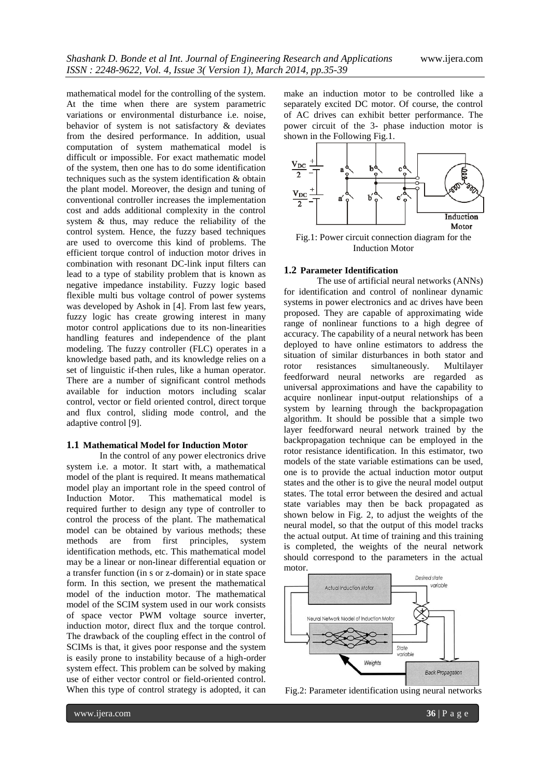mathematical model for the controlling of the system. At the time when there are system parametric variations or environmental disturbance i.e. noise, behavior of system is not satisfactory & deviates from the desired performance. In addition, usual computation of system mathematical model is difficult or impossible. For exact mathematic model of the system, then one has to do some identification techniques such as the system identification & obtain the plant model. Moreover, the design and tuning of conventional controller increases the implementation cost and adds additional complexity in the control system & thus, may reduce the reliability of the control system. Hence, the fuzzy based techniques are used to overcome this kind of problems. The efficient torque control of induction motor drives in combination with resonant DC-link input filters can lead to a type of stability problem that is known as negative impedance instability. Fuzzy logic based flexible multi bus voltage control of power systems was developed by Ashok in [4]. From last few years, fuzzy logic has create growing interest in many motor control applications due to its non-linearities handling features and independence of the plant modeling. The fuzzy controller (FLC) operates in a knowledge based path, and its knowledge relies on a set of linguistic if-then rules, like a human operator. There are a number of significant control methods available for induction motors including scalar control, vector or field oriented control, direct torque and flux control, sliding mode control, and the adaptive control [9].

#### **1.1 Mathematical Model for Induction Motor**

In the control of any power electronics drive system i.e. a motor. It start with, a mathematical model of the plant is required. It means mathematical model play an important role in the speed control of Induction Motor. This mathematical model is required further to design any type of controller to control the process of the plant. The mathematical model can be obtained by various methods; these methods are from first principles, system identification methods, etc. This mathematical model may be a linear or non-linear differential equation or a transfer function (in s or z-domain) or in state space form. In this section, we present the mathematical model of the induction motor. The mathematical model of the SCIM system used in our work consists of space vector PWM voltage source inverter, induction motor, direct flux and the torque control. The drawback of the coupling effect in the control of SCIMs is that, it gives poor response and the system is easily prone to instability because of a high-order system effect. This problem can be solved by making use of either vector control or field-oriented control. When this type of control strategy is adopted, it can

make an induction motor to be controlled like a separately excited DC motor. Of course, the control of AC drives can exhibit better performance. The power circuit of the 3- phase induction motor is shown in the Following Fig.1.



Fig.1: Power circuit connection diagram for the Induction Motor

#### **1.2 Parameter Identification**

The use of artificial neural networks (ANNs) for identification and control of nonlinear dynamic systems in power electronics and ac drives have been proposed. They are capable of approximating wide range of nonlinear functions to a high degree of accuracy. The capability of a neural network has been deployed to have online estimators to address the situation of similar disturbances in both stator and rotor resistances simultaneously. Multilayer feedforward neural networks are regarded as universal approximations and have the capability to acquire nonlinear input-output relationships of a system by learning through the backpropagation algorithm. It should be possible that a simple two layer feedforward neural network trained by the backpropagation technique can be employed in the rotor resistance identification. In this estimator, two models of the state variable estimations can be used, one is to provide the actual induction motor output states and the other is to give the neural model output states. The total error between the desired and actual state variables may then be back propagated as shown below in Fig. 2, to adjust the weights of the neural model, so that the output of this model tracks the actual output. At time of training and this training is completed, the weights of the neural network should correspond to the parameters in the actual motor.



Fig.2: Parameter identification using neural networks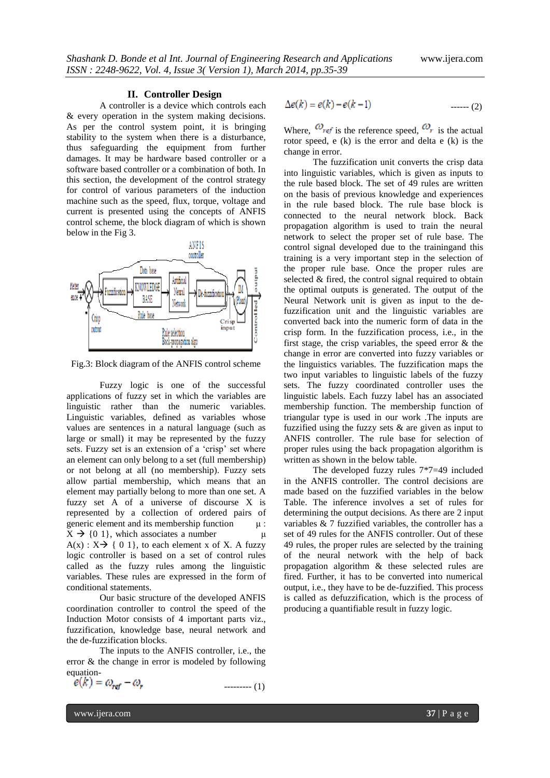#### **II. Controller Design**

A controller is a device which controls each & every operation in the system making decisions. As per the control system point, it is bringing stability to the system when there is a disturbance, thus safeguarding the equipment from further damages. It may be hardware based controller or a software based controller or a combination of both. In this section, the development of the control strategy for control of various parameters of the induction machine such as the speed, flux, torque, voltage and current is presented using the concepts of ANFIS control scheme, the block diagram of which is shown below in the Fig 3.



Fig.3: Block diagram of the ANFIS control scheme

Fuzzy logic is one of the successful applications of fuzzy set in which the variables are linguistic rather than the numeric variables. Linguistic variables, defined as variables whose values are sentences in a natural language (such as large or small) it may be represented by the fuzzy sets. Fuzzy set is an extension of a 'crisp' set where an element can only belong to a set (full membership) or not belong at all (no membership). Fuzzy sets allow partial membership, which means that an element may partially belong to more than one set. A fuzzy set A of a universe of discourse X is represented by a collection of ordered pairs of generic element and its membership function  $\mu$ :  $X \rightarrow \{0, 1\}$ , which associates a number  $\mu$  $A(x)$ :  $X \rightarrow \{ 0, 1 \}$ , to each element x of X. A fuzzy logic controller is based on a set of control rules called as the fuzzy rules among the linguistic variables. These rules are expressed in the form of conditional statements.

Our basic structure of the developed ANFIS coordination controller to control the speed of the Induction Motor consists of 4 important parts viz., fuzzification, knowledge base, neural network and the de-fuzzification blocks.

The inputs to the ANFIS controller, i.e., the error & the change in error is modeled by following equation-

$$
e(k) = \omega_{ref} - \omega_r \tag{1}
$$

$$
\Delta e(k) = e(k) - e(k-1) \tag{2}
$$

Where,  $\omega_{ref}$  is the reference speed,  $\omega_{ref}$  is the actual rotor speed, e (k) is the error and delta e (k) is the change in error.

The fuzzification unit converts the crisp data into linguistic variables, which is given as inputs to the rule based block. The set of 49 rules are written on the basis of previous knowledge and experiences in the rule based block. The rule base block is connected to the neural network block. Back propagation algorithm is used to train the neural network to select the proper set of rule base. The control signal developed due to the trainingand this training is a very important step in the selection of the proper rule base. Once the proper rules are selected & fired, the control signal required to obtain the optimal outputs is generated. The output of the Neural Network unit is given as input to the defuzzification unit and the linguistic variables are converted back into the numeric form of data in the crisp form. In the fuzzification process, i.e., in the first stage, the crisp variables, the speed error & the change in error are converted into fuzzy variables or the linguistics variables. The fuzzification maps the two input variables to linguistic labels of the fuzzy sets. The fuzzy coordinated controller uses the linguistic labels. Each fuzzy label has an associated membership function. The membership function of triangular type is used in our work .The inputs are fuzzified using the fuzzy sets & are given as input to ANFIS controller. The rule base for selection of proper rules using the back propagation algorithm is written as shown in the below table.

The developed fuzzy rules 7\*7=49 included in the ANFIS controller. The control decisions are made based on the fuzzified variables in the below Table. The inference involves a set of rules for determining the output decisions. As there are 2 input variables & 7 fuzzified variables, the controller has a set of 49 rules for the ANFIS controller. Out of these 49 rules, the proper rules are selected by the training of the neural network with the help of back propagation algorithm & these selected rules are fired. Further, it has to be converted into numerical output, i.e., they have to be de-fuzzified. This process is called as defuzzification, which is the process of producing a quantifiable result in fuzzy logic.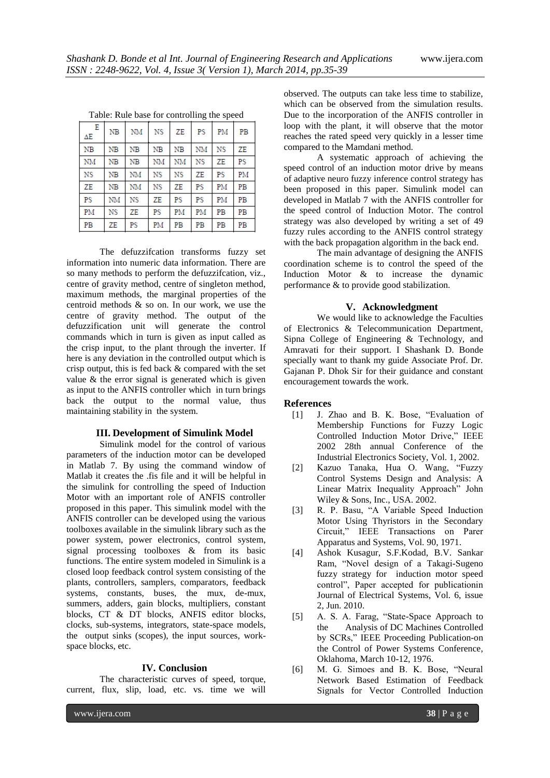| в<br>ΔΕ   | <b>NB</b>   | NM          | NS | ZE        | PS | PM | РB |
|-----------|-------------|-------------|----|-----------|----|----|----|
| NB        | $_{\rm NB}$ | $_{\rm NB}$ | NB | NB        | NM | NS | ΖE |
| NM        | NB          | NB          | NM | <b>NM</b> | NS | ΖE | PS |
| <b>NS</b> | NB          | NM          | NS | NS        | ZE | PS | PM |
| ZE        | NB          | NM          | NS | ZE        | PS | PM | PB |
| PS        | NM          | NS          | ZE | PS        | PS | PM | PB |
| PM        | NS          | ZE          | PS | PM        | PM | PB | PB |
| PB        | ZE          | PS          | РM | PB        | PB | PB | PB |

Table: Rule base for controlling the speed

The defuzzifcation transforms fuzzy set information into numeric data information. There are so many methods to perform the defuzzifcation, viz., centre of gravity method, centre of singleton method, maximum methods, the marginal properties of the centroid methods & so on. In our work, we use the centre of gravity method. The output of the defuzzification unit will generate the control commands which in turn is given as input called as the crisp input, to the plant through the inverter. If here is any deviation in the controlled output which is crisp output, this is fed back & compared with the set value & the error signal is generated which is given as input to the ANFIS controller which in turn brings back the output to the normal value, thus maintaining stability in the system.

# **III. Development of Simulink Model**

Simulink model for the control of various parameters of the induction motor can be developed in Matlab 7. By using the command window of Matlab it creates the .fis file and it will be helpful in the simulink for controlling the speed of Induction Motor with an important role of ANFIS controller proposed in this paper. This simulink model with the ANFIS controller can be developed using the various toolboxes available in the simulink library such as the power system, power electronics, control system, signal processing toolboxes & from its basic functions. The entire system modeled in Simulink is a closed loop feedback control system consisting of the plants, controllers, samplers, comparators, feedback systems, constants, buses, the mux, de-mux, summers, adders, gain blocks, multipliers, constant blocks, CT & DT blocks, ANFIS editor blocks, clocks, sub-systems, integrators, state-space models, the output sinks (scopes), the input sources, workspace blocks, etc.

# **IV. Conclusion**

The characteristic curves of speed, torque, current, flux, slip, load, etc. vs. time we will

observed. The outputs can take less time to stabilize, which can be observed from the simulation results. Due to the incorporation of the ANFIS controller in loop with the plant, it will observe that the motor reaches the rated speed very quickly in a lesser time compared to the Mamdani method.

A systematic approach of achieving the speed control of an induction motor drive by means of adaptive neuro fuzzy inference control strategy has been proposed in this paper. Simulink model can developed in Matlab 7 with the ANFIS controller for the speed control of Induction Motor. The control strategy was also developed by writing a set of 49 fuzzy rules according to the ANFIS control strategy with the back propagation algorithm in the back end.

The main advantage of designing the ANFIS coordination scheme is to control the speed of the Induction Motor & to increase the dynamic performance & to provide good stabilization.

# **V. Acknowledgment**

We would like to acknowledge the Faculties of Electronics & Telecommunication Department, Sipna College of Engineering & Technology, and Amravati for their support. I Shashank D. Bonde specially want to thank my guide Associate Prof. Dr. Gajanan P. Dhok Sir for their guidance and constant encouragement towards the work.

#### **References**

- [1] J. Zhao and B. K. Bose, "Evaluation of Membership Functions for Fuzzy Logic Controlled Induction Motor Drive," IEEE 2002 28th annual Conference of the Industrial Electronics Society, Vol. 1, 2002.
- [2] Kazuo Tanaka, Hua O. Wang, "Fuzzy Control Systems Design and Analysis: A Linear Matrix Inequality Approach" John Wiley & Sons, Inc., USA. 2002.
- [3] R. P. Basu, "A Variable Speed Induction Motor Using Thyristors in the Secondary Circuit," IEEE Transactions on Parer Apparatus and Systems, Vol. 90, 1971.
- [4] Ashok Kusagur, S.F.Kodad, B.V. Sankar Ram, "Novel design of a Takagi-Sugeno fuzzy strategy for induction motor speed control", Paper accepted for publicationin Journal of Electrical Systems, Vol. 6, issue 2, Jun. 2010.
- [5] A. S. A. Farag, "State-Space Approach to the Analysis of DC Machines Controlled by SCRs," IEEE Proceeding Publication-on the Control of Power Systems Conference, Oklahoma, March 10-12, 1976.
- [6] M. G. Simoes and B. K. Bose, "Neural Network Based Estimation of Feedback Signals for Vector Controlled Induction